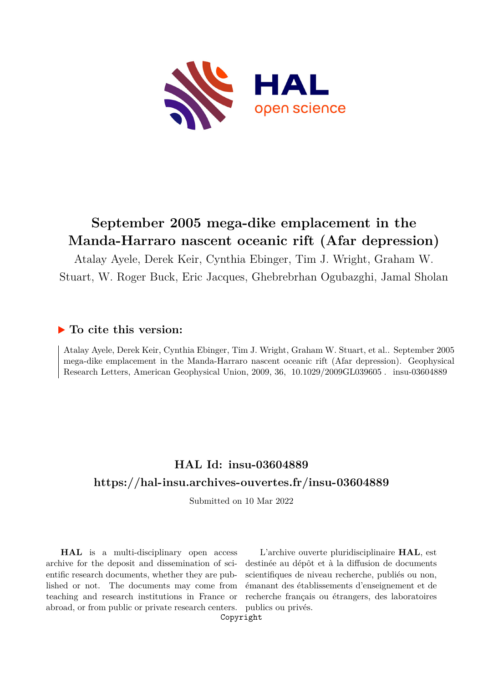

# **September 2005 mega-dike emplacement in the Manda-Harraro nascent oceanic rift (Afar depression)**

Atalay Ayele, Derek Keir, Cynthia Ebinger, Tim J. Wright, Graham W. Stuart, W. Roger Buck, Eric Jacques, Ghebrebrhan Ogubazghi, Jamal Sholan

## **To cite this version:**

Atalay Ayele, Derek Keir, Cynthia Ebinger, Tim J. Wright, Graham W. Stuart, et al.. September 2005 mega-dike emplacement in the Manda-Harraro nascent oceanic rift (Afar depression). Geophysical Research Letters, American Geophysical Union, 2009, 36, 10.1029/2009GL039605. insu-03604889

## **HAL Id: insu-03604889 <https://hal-insu.archives-ouvertes.fr/insu-03604889>**

Submitted on 10 Mar 2022

**HAL** is a multi-disciplinary open access archive for the deposit and dissemination of scientific research documents, whether they are published or not. The documents may come from teaching and research institutions in France or abroad, or from public or private research centers.

L'archive ouverte pluridisciplinaire **HAL**, est destinée au dépôt et à la diffusion de documents scientifiques de niveau recherche, publiés ou non, émanant des établissements d'enseignement et de recherche français ou étrangers, des laboratoires publics ou privés.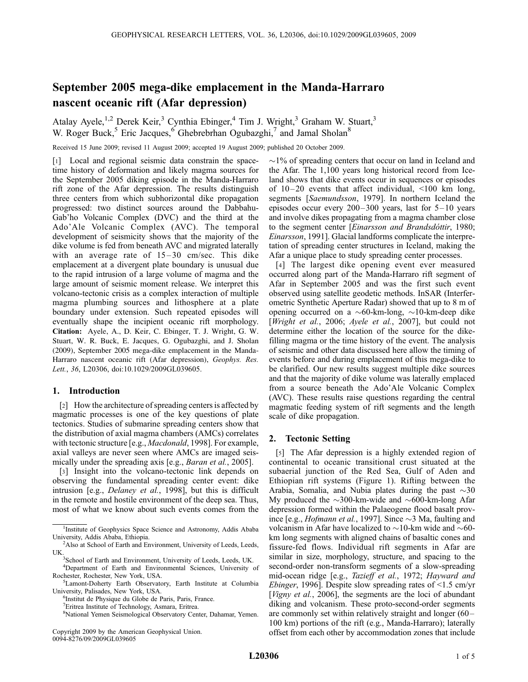## September 2005 mega-dike emplacement in the Manda-Harraro nascent oceanic rift (Afar depression)

Atalay Ayele,<sup>1,2</sup> Derek Keir,<sup>3</sup> Cynthia Ebinger,<sup>4</sup> Tim J. Wright,<sup>3</sup> Graham W. Stuart,<sup>3</sup> W. Roger Buck,<sup>5</sup> Eric Jacques,<sup>6</sup> Ghebrebrhan Ogubazghi,<sup>7</sup> and Jamal Sholan<sup>8</sup>

Received 15 June 2009; revised 11 August 2009; accepted 19 August 2009; published 20 October 2009.

[1] Local and regional seismic data constrain the spacetime history of deformation and likely magma sources for the September 2005 diking episode in the Manda-Harraro rift zone of the Afar depression. The results distinguish three centers from which subhorizontal dike propagation progressed: two distinct sources around the Dabbahu-Gab'ho Volcanic Complex (DVC) and the third at the Ado'Ale Volcanic Complex (AVC). The temporal development of seismicity shows that the majority of the dike volume is fed from beneath AVC and migrated laterally with an average rate of  $15-30$  cm/sec. This dike emplacement at a divergent plate boundary is unusual due to the rapid intrusion of a large volume of magma and the large amount of seismic moment release. We interpret this volcano-tectonic crisis as a complex interaction of multiple magma plumbing sources and lithosphere at a plate boundary under extension. Such repeated episodes will eventually shape the incipient oceanic rift morphology. Citation: Ayele, A., D. Keir, C. Ebinger, T. J. Wright, G. W. Stuart, W. R. Buck, E. Jacques, G. Ogubazghi, and J. Sholan (2009), September 2005 mega-dike emplacement in the Manda-Harraro nascent oceanic rift (Afar depression), Geophys. Res. Lett., 36, L20306, doi:10.1029/2009GL039605.

#### 1. Introduction

[2] How the architecture of spreading centers is affected by magmatic processes is one of the key questions of plate tectonics. Studies of submarine spreading centers show that the distribution of axial magma chambers (AMCs) correlates with tectonic structure [e.g., *Macdonald*, 1998]. For example, axial valleys are never seen where AMCs are imaged seismically under the spreading axis [e.g., *Baran et al.*, 2005].

[3] Insight into the volcano-tectonic link depends on observing the fundamental spreading center event: dike intrusion [e.g., Delaney et al., 1998], but this is difficult in the remote and hostile environment of the deep sea. Thus, most of what we know about such events comes from the

Copyright 2009 by the American Geophysical Union. 0094-8276/09/2009GL039605

 $\sim$ 1% of spreading centers that occur on land in Iceland and the Afar. The 1,100 years long historical record from Iceland shows that dike events occur in sequences or episodes of  $10-20$  events that affect individual,  $\leq 100$  km long, segments [Saemundsson, 1979]. In northern Iceland the episodes occur every  $200-300$  years, last for  $5-10$  years and involve dikes propagating from a magma chamber close to the segment center [Einarsson and Brandsdóttir, 1980; Einarsson, 1991]. Glacial landforms complicate the interpretation of spreading center structures in Iceland, making the Afar a unique place to study spreading center processes.

[4] The largest dike opening event ever measured occurred along part of the Manda-Harraro rift segment of Afar in September 2005 and was the first such event observed using satellite geodetic methods. InSAR (Interferometric Synthetic Aperture Radar) showed that up to 8 m of opening occurred on a  $\sim$ 60-km-long,  $\sim$ 10-km-deep dike [Wright et al., 2006; Ayele et al., 2007], but could not determine either the location of the source for the dikefilling magma or the time history of the event. The analysis of seismic and other data discussed here allow the timing of events before and during emplacement of this mega-dike to be clarified. Our new results suggest multiple dike sources and that the majority of dike volume was laterally emplaced from a source beneath the Ado'Ale Volcanic Complex (AVC). These results raise questions regarding the central magmatic feeding system of rift segments and the length scale of dike propagation.

#### 2. Tectonic Setting

[5] The Afar depression is a highly extended region of continental to oceanic transitional crust situated at the subaerial junction of the Red Sea, Gulf of Aden and Ethiopian rift systems (Figure 1). Rifting between the Arabia, Somalia, and Nubia plates during the past  $\sim$ 30 My produced the  $\sim$ 300-km-wide and  $\sim$ 600-km-long Afar depression formed within the Palaeogene flood basalt province [e.g., *Hofmann et al.*, 1997]. Since  $\sim$ 3 Ma, faulting and volcanism in Afar have localized to  $\sim$ 10-km wide and  $\sim$ 60km long segments with aligned chains of basaltic cones and fissure-fed flows. Individual rift segments in Afar are similar in size, morphology, structure, and spacing to the second-order non-transform segments of a slow-spreading mid-ocean ridge [e.g., Tazieff et al., 1972; Hayward and Ebinger, 1996]. Despite slow spreading rates of <1.5 cm/yr [Vigny et al., 2006], the segments are the loci of abundant diking and volcanism. These proto-second-order segments are commonly set within relatively straight and longer (60 – 100 km) portions of the rift (e.g., Manda-Harraro); laterally offset from each other by accommodation zones that include

<sup>&</sup>lt;sup>1</sup>Institute of Geophysics Space Science and Astronomy, Addis Ababa University, Addis Ababa, Ethiopia. <sup>2</sup>

<sup>&</sup>lt;sup>2</sup>Also at School of Earth and Environment, University of Leeds, Leeds, **IK** 

<sup>&</sup>lt;sup>3</sup>School of Earth and Environment, University of Leeds, Leeds, UK.

<sup>4</sup> Department of Earth and Environmental Sciences, University of Rochester, Rochester, New York, USA. <sup>5</sup>

<sup>&</sup>lt;sup>5</sup>Lamont-Doherty Earth Observatory, Earth Institute at Columbia University, Palisades, New York, USA. <sup>6</sup>

<sup>&</sup>lt;sup>6</sup>Institut de Physique du Globe de Paris, Paris, France.

<sup>7</sup> Eritrea Institute of Technology, Asmara, Eritrea.

<sup>8</sup> National Yemen Seismological Observatory Center, Dahamar, Yemen.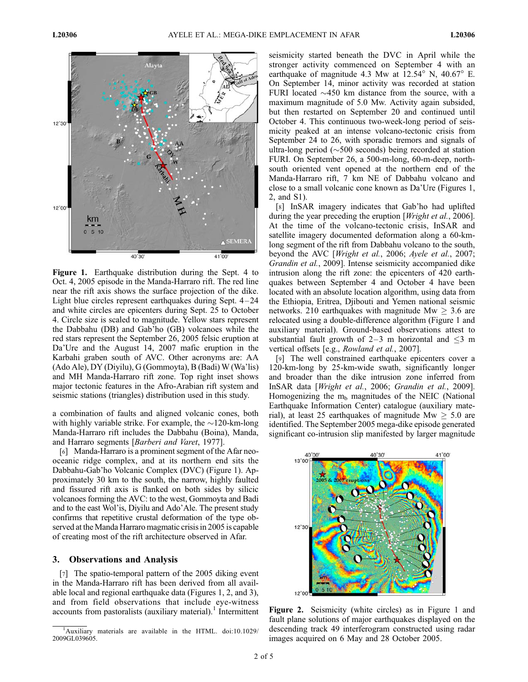

Figure 1. Earthquake distribution during the Sept. 4 to Oct. 4, 2005 episode in the Manda-Harraro rift. The red line near the rift axis shows the surface projection of the dike. Light blue circles represent earthquakes during Sept. 4 – 24 and white circles are epicenters during Sept. 25 to October 4. Circle size is scaled to magnitude. Yellow stars represent the Dabbahu (DB) and Gab'ho (GB) volcanoes while the red stars represent the September 26, 2005 felsic eruption at Da'Ure and the August 14, 2007 mafic eruption in the Karbahi graben south of AVC. Other acronyms are: AA (Ado Ale), DY (Diyilu), G (Gommoyta), B (Badi) W (Wa'lis) and MH Manda-Harraro rift zone. Top right inset shows major tectonic features in the Afro-Arabian rift system and seismic stations (triangles) distribution used in this study.

a combination of faults and aligned volcanic cones, both with highly variable strike. For example, the  $\sim$ 120-km-long Manda-Harraro rift includes the Dabbahu (Boina), Manda, and Harraro segments [Barberi and Varet, 1977].

[6] Manda-Harraro is a prominent segment of the Afar neooceanic ridge complex, and at its northern end sits the Dabbahu-Gab'ho Volcanic Complex (DVC) (Figure 1). Approximately 30 km to the south, the narrow, highly faulted and fissured rift axis is flanked on both sides by silicic volcanoes forming the AVC: to the west, Gommoyta and Badi and to the east Wol'is, Diyilu and Ado'Ale. The present study confirms that repetitive crustal deformation of the type observed at the Manda Harraro magmatic crisis in 2005 is capable of creating most of the rift architecture observed in Afar.

#### 3. Observations and Analysis

[7] The spatio-temporal pattern of the 2005 diking event in the Manda-Harraro rift has been derived from all available local and regional earthquake data (Figures 1, 2, and 3), and from field observations that include eye-witness accounts from pastoralists (auxiliary material).<sup>1</sup> Intermittent seismicity started beneath the DVC in April while the stronger activity commenced on September 4 with an earthquake of magnitude 4.3 Mw at  $12.54^{\circ}$  N,  $40.67^{\circ}$  E. On September 14, minor activity was recorded at station FURI located  $\sim$ 450 km distance from the source, with a maximum magnitude of 5.0 Mw. Activity again subsided, but then restarted on September 20 and continued until October 4. This continuous two-week-long period of seismicity peaked at an intense volcano-tectonic crisis from September 24 to 26, with sporadic tremors and signals of ultra-long period ( $\sim$ 500 seconds) being recorded at station FURI. On September 26, a 500-m-long, 60-m-deep, northsouth oriented vent opened at the northern end of the Manda-Harraro rift, 7 km NE of Dabbahu volcano and close to a small volcanic cone known as Da'Ure (Figures 1, 2, and S1).

[8] InSAR imagery indicates that Gab'ho had uplifted during the year preceding the eruption [*Wright et al.*, 2006]. At the time of the volcano-tectonic crisis, InSAR and satellite imagery documented deformation along a 60-kmlong segment of the rift from Dabbahu volcano to the south, beyond the AVC [Wright et al., 2006; Ayele et al., 2007; Grandin et al., 2009]. Intense seismicity accompanied dike intrusion along the rift zone: the epicenters of 420 earthquakes between September 4 and October 4 have been located with an absolute location algorithm, using data from the Ethiopia, Eritrea, Djibouti and Yemen national seismic networks. 210 earthquakes with magnitude Mw  $\geq$  3.6 are relocated using a double-difference algorithm (Figure 1 and auxiliary material). Ground-based observations attest to substantial fault growth of 2-3 m horizontal and  $\leq$ 3 m vertical offsets [e.g., Rowland et al., 2007].

[9] The well constrained earthquake epicenters cover a 120-km-long by 25-km-wide swath, significantly longer and broader than the dike intrusion zone inferred from InSAR data [Wright et al., 2006; Grandin et al., 2009]. Homogenizing the  $m_b$  magnitudes of the NEIC (National Earthquake Information Center) catalogue (auxiliary material), at least 25 earthquakes of magnitude Mw  $\geq 5.0$  are identified. The September 2005 mega-dike episode generated significant co-intrusion slip manifested by larger magnitude



Figure 2. Seismicity (white circles) as in Figure 1 and fault plane solutions of major earthquakes displayed on the descending track 49 interferogram constructed using radar images acquired on 6 May and 28 October 2005.

<sup>&</sup>lt;sup>1</sup>Auxiliary materials are available in the HTML. doi:10.1029/ 2009GL039605.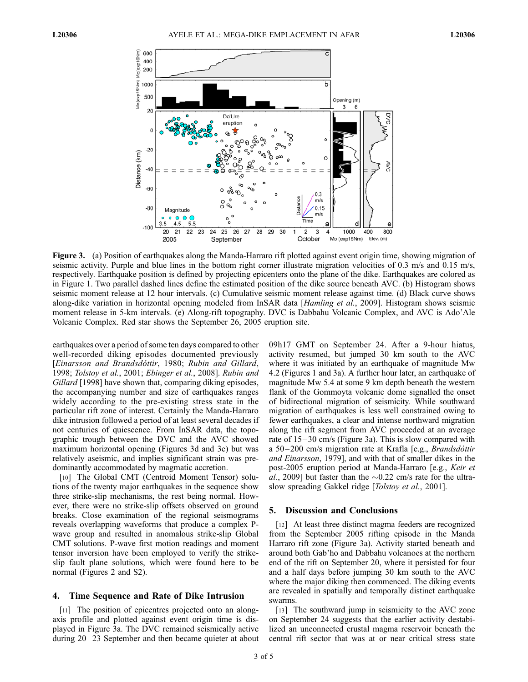

Figure 3. (a) Position of earthquakes along the Manda-Harraro rift plotted against event origin time, showing migration of seismic activity. Purple and blue lines in the bottom right corner illustrate migration velocities of 0.3 m/s and 0.15 m/s, respectively. Earthquake position is defined by projecting epicenters onto the plane of the dike. Earthquakes are colored as in Figure 1. Two parallel dashed lines define the estimated position of the dike source beneath AVC. (b) Histogram shows seismic moment release at 12 hour intervals. (c) Cumulative seismic moment release against time. (d) Black curve shows along-dike variation in horizontal opening modeled from InSAR data [Hamling et al., 2009]. Histogram shows seismic moment release in 5-km intervals. (e) Along-rift topography. DVC is Dabbahu Volcanic Complex, and AVC is Ado'Ale Volcanic Complex. Red star shows the September 26, 2005 eruption site.

earthquakes over a period of some ten days compared to other well-recorded diking episodes documented previously [Einarsson and Brandsdóttir, 1980; Rubin and Gillard, 1998; Tolstoy et al., 2001; Ebinger et al., 2008]. Rubin and Gillard [1998] have shown that, comparing diking episodes, the accompanying number and size of earthquakes ranges widely according to the pre-existing stress state in the particular rift zone of interest. Certainly the Manda-Harraro dike intrusion followed a period of at least several decades if not centuries of quiescence. From InSAR data, the topographic trough between the DVC and the AVC showed maximum horizontal opening (Figures 3d and 3e) but was relatively aseismic, and implies significant strain was predominantly accommodated by magmatic accretion.

[10] The Global CMT (Centroid Moment Tensor) solutions of the twenty major earthquakes in the sequence show three strike-slip mechanisms, the rest being normal. However, there were no strike-slip offsets observed on ground breaks. Close examination of the regional seismograms reveals overlapping waveforms that produce a complex Pwave group and resulted in anomalous strike-slip Global CMT solutions. P-wave first motion readings and moment tensor inversion have been employed to verify the strikeslip fault plane solutions, which were found here to be normal (Figures 2 and S2).

#### 4. Time Sequence and Rate of Dike Intrusion

[11] The position of epicentres projected onto an alongaxis profile and plotted against event origin time is displayed in Figure 3a. The DVC remained seismically active during 20–23 September and then became quieter at about 09h17 GMT on September 24. After a 9-hour hiatus, activity resumed, but jumped 30 km south to the AVC where it was initiated by an earthquake of magnitude Mw 4.2 (Figures 1 and 3a). A further hour later, an earthquake of magnitude Mw 5.4 at some 9 km depth beneath the western flank of the Gommoyta volcanic dome signalled the onset of bidirectional migration of seismicity. While southward migration of earthquakes is less well constrained owing to fewer earthquakes, a clear and intense northward migration along the rift segment from AVC proceeded at an average rate of 15–30 cm/s (Figure 3a). This is slow compared with a 50–200 cm/s migration rate at Krafla [e.g., *Brandsdottir* and Einarsson, 1979], and with that of smaller dikes in the post-2005 eruption period at Manda-Harraro [e.g., Keir et al., 2009] but faster than the  $\sim$ 0.22 cm/s rate for the ultraslow spreading Gakkel ridge [Tolstoy et al., 2001].

#### 5. Discussion and Conclusions

[12] At least three distinct magma feeders are recognized from the September 2005 rifting episode in the Manda Harraro rift zone (Figure 3a). Activity started beneath and around both Gab'ho and Dabbahu volcanoes at the northern end of the rift on September 20, where it persisted for four and a half days before jumping 30 km south to the AVC where the major diking then commenced. The diking events are revealed in spatially and temporally distinct earthquake swarms.

[13] The southward jump in seismicity to the AVC zone on September 24 suggests that the earlier activity destabilized an unconnected crustal magma reservoir beneath the central rift sector that was at or near critical stress state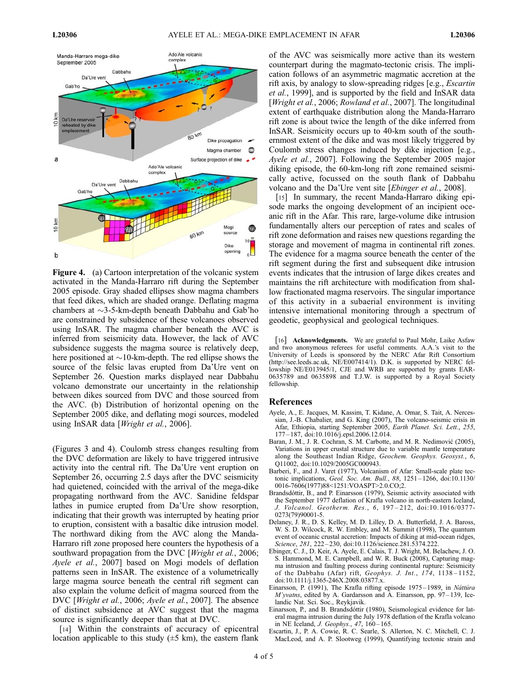

Figure 4. (a) Cartoon interpretation of the volcanic system activated in the Manda-Harraro rift during the September 2005 episode. Gray shaded ellipses show magma chambers that feed dikes, which are shaded orange. Deflating magma chambers at  $\sim$ 3-5-km-depth beneath Dabbahu and Gab'ho are constrained by subsidence of these volcanoes observed using InSAR. The magma chamber beneath the AVC is inferred from seismicity data. However, the lack of AVC subsidence suggests the magma source is relatively deep, here positioned at  $\sim$ 10-km-depth. The red ellipse shows the source of the felsic lavas erupted from Da'Ure vent on September 26. Question marks displayed near Dabbahu volcano demonstrate our uncertainty in the relationship between dikes sourced from DVC and those sourced from the AVC. (b) Distribution of horizontal opening on the September 2005 dike, and deflating mogi sources, modeled using InSAR data [*Wright et al.*, 2006].

(Figures 3 and 4). Coulomb stress changes resulting from the DVC deformation are likely to have triggered intrusive activity into the central rift. The Da'Ure vent eruption on September 26, occurring 2.5 days after the DVC seismicity had quietened, coincided with the arrival of the mega-dike propagating northward from the AVC. Sanidine feldspar lathes in pumice erupted from Da'Ure show resorption, indicating that their growth was interrupted by heating prior to eruption, consistent with a basaltic dike intrusion model. The northward diking from the AVC along the Manda-Harraro rift zone proposed here counters the hypothesis of a southward propagation from the DVC [Wright et al., 2006; Ayele et al., 2007] based on Mogi models of deflation patterns seen in InSAR. The existence of a volumetrically large magma source beneath the central rift segment can also explain the volume deficit of magma sourced from the DVC [Wright et al., 2006; Ayele et al., 2007]. The absence of distinct subsidence at AVC suggest that the magma source is significantly deeper than that at DVC.

[14] Within the constraints of accuracy of epicentral location applicable to this study  $(\pm 5 \text{ km})$ , the eastern flank

of the AVC was seismically more active than its western counterpart during the magmato-tectonic crisis. The implication follows of an asymmetric magmatic accretion at the rift axis, by analogy to slow-spreading ridges [e.g., Escartin et al., 1999], and is supported by the field and InSAR data [*Wright et al., 2006; Rowland et al., 2007*]. The longitudinal extent of earthquake distribution along the Manda-Harraro rift zone is about twice the length of the dike inferred from InSAR. Seismicity occurs up to 40-km south of the southernmost extent of the dike and was most likely triggered by Coulomb stress changes induced by dike injection [e.g., Ayele et al., 2007. Following the September 2005 major diking episode, the 60-km-long rift zone remained seismically active, focussed on the south flank of Dabbahu volcano and the Da'Ure vent site [Ebinger et al., 2008].

[15] In summary, the recent Manda-Harraro diking episode marks the ongoing development of an incipient oceanic rift in the Afar. This rare, large-volume dike intrusion fundamentally alters our perception of rates and scales of rift zone deformation and raises new questions regarding the storage and movement of magma in continental rift zones. The evidence for a magma source beneath the center of the rift segment during the first and subsequent dike intrusion events indicates that the intrusion of large dikes creates and maintains the rift architecture with modification from shallow fractionated magma reservoirs. The singular importance of this activity in a subaerial environment is inviting intensive international monitoring through a spectrum of geodetic, geophysical and geological techniques.

[16] **Acknowledgments.** We are grateful to Paul Mohr, Laike Asfaw and two anonymous referees for useful comments. A.A.'s visit to the University of Leeds is sponsored by the NERC Afar Rift Consortium (http://see.leeds.ac.uk, NE/E007414/1). D.K. is supported by NERC fellowship NE/E013945/1, CJE and WRB are supported by grants EAR-0635789 and 0635898 and T.J.W. is supported by a Royal Society fellowship.

#### References

- Ayele, A., E. Jacques, M. Kassim, T. Kidane, A. Omar, S. Tait, A. Nercessian, J.-B. Chabalier, and G. King (2007), The volcano-seismic crisis in Afar, Ethiopia, starting September 2005, Earth Planet. Sci. Lett., 255, 177 – 187, doi:10.1016/j.epsl.2006.12.014.
- Baran, J. M., J. R. Cochran, S. M. Carbotte, and M. R. Nedimović (2005), Variations in upper crustal structure due to variable mantle temperature along the Southeast Indian Ridge, Geochem. Geophys. Geosyst., 6, Q11002, doi:10.1029/2005GC000943.
- Barberi, F., and J. Varet (1977), Volcanism of Afar: Small-scale plate tectonic implications, Geol. Soc. Am. Bull., 88, 1251 – 1266, doi:10.1130/ 0016-7606(1977)88<1251:VOASPT>2.0.CO;2.
- Brandsdóttir, B., and P. Einarsson (1979), Seismic activity associated with the September 1977 deflation of Krafla volcano in north-eastern Iceland, J. Volcanol. Geotherm. Res., 6, 197 – 212, doi:10.1016/0377- 0273(79)90001-5.
- Delaney, J. R., D. S. Kelley, M. D. Lilley, D. A. Butterfield, J. A. Baross, W. S. D. Wilcock, R. W. Embley, and M. Summit (1998), The quantum event of oceanic crustal accretion: Impacts of diking at mid-ocean ridges, Science, 281, 222 – 230, doi:10.1126/science.281.5374.222.
- Ebinger, C. J., D. Keir, A. Ayele, E. Calais, T. J. Wright, M. Belachew, J. O. S. Hammond, M. E. Campbell, and W. R. Buck (2008), Capturing magma intrusion and faulting process during continental rupture: Seismicity of the Dabbahu (Afar) rift, Geophys. J. Int., 174, 1138-1152, doi:10.1111/j.1365-246X.2008.03877.x.
- Einarsson, P. (1991), The Krafla rifting episode 1975-1989, in Náttúra  $M$ 'yvatns, edited by A. Gardarsson and  $A$ . Einarsson, pp. 97–139, Icelandic Nat. Sci. Soc., Reykjavik.
- Einarsson, P., and B. Brandsdóttir (1980), Seismological evidence for lateral magma intrusion during the July 1978 deflation of the Krafla volcano in NE Iceland, J. Geophys., 47, 160-165.
- Escartin, J., P. A. Cowie, R. C. Searle, S. Allerton, N. C. Mitchell, C. J. MacLeod, and A. P. Slootweg (1999), Quantifying tectonic strain and